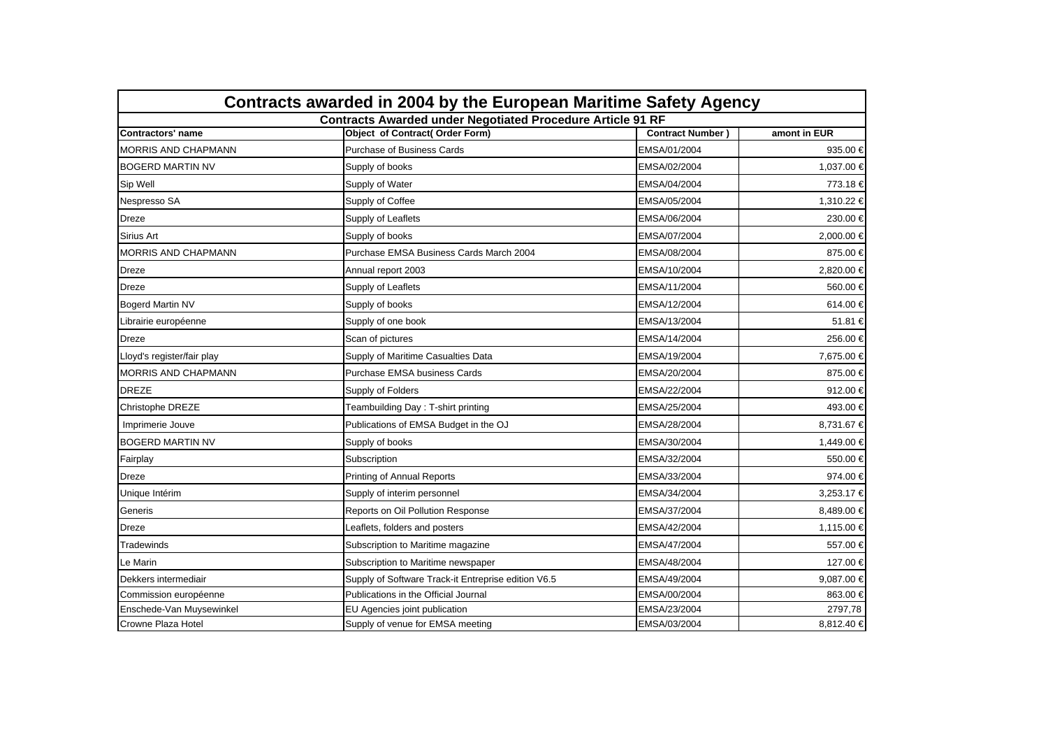| Contracts awarded in 2004 by the European Maritime Safety Agency  |                                                     |                         |              |  |
|-------------------------------------------------------------------|-----------------------------------------------------|-------------------------|--------------|--|
| <b>Contracts Awarded under Negotiated Procedure Article 91 RF</b> |                                                     |                         |              |  |
| <b>Contractors' name</b>                                          | <b>Object of Contract( Order Form)</b>              | <b>Contract Number)</b> | amont in EUR |  |
| <b>MORRIS AND CHAPMANN</b>                                        | Purchase of Business Cards                          | EMSA/01/2004            | 935.00 €     |  |
| <b>BOGERD MARTIN NV</b>                                           | Supply of books                                     | EMSA/02/2004            | 1,037.00 €   |  |
| Sip Well                                                          | Supply of Water                                     | EMSA/04/2004            | 773.18 €     |  |
| Nespresso SA                                                      | Supply of Coffee                                    | EMSA/05/2004            | 1,310.22 €   |  |
| <b>Dreze</b>                                                      | Supply of Leaflets                                  | EMSA/06/2004            | 230.00 €     |  |
| Sirius Art                                                        | Supply of books                                     | EMSA/07/2004            | 2,000.00 €   |  |
| <b>MORRIS AND CHAPMANN</b>                                        | Purchase EMSA Business Cards March 2004             | EMSA/08/2004            | 875.00 €     |  |
| Dreze                                                             | Annual report 2003                                  | EMSA/10/2004            | 2.820.00 €   |  |
| <b>Dreze</b>                                                      | Supply of Leaflets                                  | EMSA/11/2004            | 560.00 €     |  |
| <b>Bogerd Martin NV</b>                                           | Supply of books                                     | EMSA/12/2004            | 614.00 €     |  |
| Librairie européenne                                              | Supply of one book                                  | EMSA/13/2004            | 51.81 €      |  |
| <b>Dreze</b>                                                      | Scan of pictures                                    | EMSA/14/2004            | 256.00 €     |  |
| Lloyd's register/fair play                                        | Supply of Maritime Casualties Data                  | EMSA/19/2004            | 7,675.00 €   |  |
| <b>MORRIS AND CHAPMANN</b>                                        | Purchase EMSA business Cards                        | EMSA/20/2004            | 875.00 €     |  |
| <b>DREZE</b>                                                      | Supply of Folders                                   | EMSA/22/2004            | 912.00€      |  |
| Christophe DREZE                                                  | Teambuilding Day: T-shirt printing                  | EMSA/25/2004            | 493.00 €     |  |
| Imprimerie Jouve                                                  | Publications of EMSA Budget in the OJ               | EMSA/28/2004            | 8,731.67 €   |  |
| <b>BOGERD MARTIN NV</b>                                           | Supply of books                                     | EMSA/30/2004            | 1,449.00 €   |  |
| Fairplay                                                          | Subscription                                        | EMSA/32/2004            | 550.00 €     |  |
| Dreze                                                             | Printing of Annual Reports                          | EMSA/33/2004            | 974.00 €     |  |
| Unique Intérim                                                    | Supply of interim personnel                         | EMSA/34/2004            | 3,253.17 €   |  |
| Generis                                                           | Reports on Oil Pollution Response                   | EMSA/37/2004            | 8,489.00 €   |  |
| Dreze                                                             | Leaflets, folders and posters                       | EMSA/42/2004            | 1,115.00 €   |  |
| Tradewinds                                                        | Subscription to Maritime magazine                   | EMSA/47/2004            | 557.00 €     |  |
| Le Marin                                                          | Subscription to Maritime newspaper                  | EMSA/48/2004            | 127.00 €     |  |
| Dekkers intermediair                                              | Supply of Software Track-it Entreprise edition V6.5 | EMSA/49/2004            | 9,087.00 €   |  |
| Commission européenne                                             | Publications in the Official Journal                | EMSA/00/2004            | 863.00 €     |  |
| Enschede-Van Muysewinkel                                          | EU Agencies joint publication                       | EMSA/23/2004            | 2797,78      |  |
| Crowne Plaza Hotel                                                | Supply of venue for EMSA meeting                    | EMSA/03/2004            | 8,812.40 €   |  |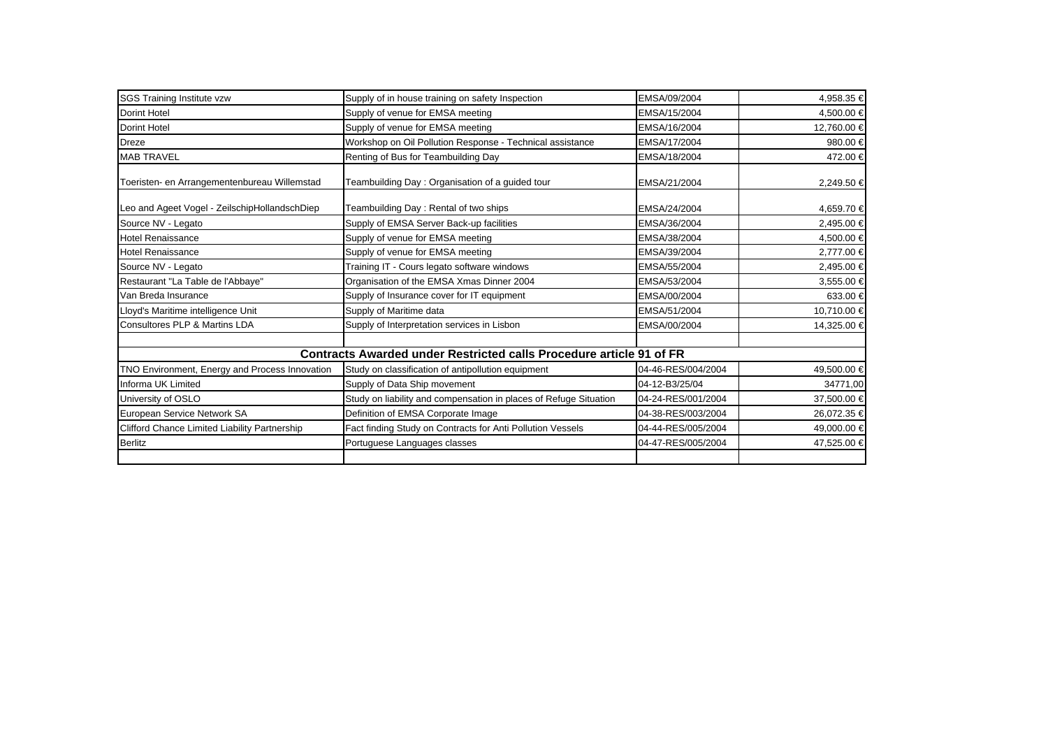| <b>SGS Training Institute vzw</b><br><b>Dorint Hotel</b> | Supply of in house training on safety Inspection<br>Supply of venue for EMSA meeting | EMSA/09/2004<br>EMSA/15/2004 | 4,958.35 €  |
|----------------------------------------------------------|--------------------------------------------------------------------------------------|------------------------------|-------------|
|                                                          |                                                                                      |                              |             |
|                                                          |                                                                                      |                              | 4,500.00 €  |
| <b>Dorint Hotel</b>                                      | Supply of venue for EMSA meeting                                                     | EMSA/16/2004                 | 12,760.00 € |
| <b>Dreze</b>                                             | Workshop on Oil Pollution Response - Technical assistance                            | EMSA/17/2004                 | 980.00 €    |
| <b>MAB TRAVEL</b>                                        | Renting of Bus for Teambuilding Day                                                  | EMSA/18/2004                 | 472.00 €    |
| Toeristen- en Arrangementenbureau Willemstad             | Teambuilding Day: Organisation of a guided tour                                      | EMSA/21/2004                 | 2,249.50 €  |
| Leo and Ageet Vogel - ZeilschipHollandschDiep            | Teambuilding Day: Rental of two ships                                                | EMSA/24/2004                 | 4,659.70 €  |
| Source NV - Legato                                       | Supply of EMSA Server Back-up facilities                                             | EMSA/36/2004                 | 2,495.00 €  |
| <b>Hotel Renaissance</b>                                 | Supply of venue for EMSA meeting                                                     | EMSA/38/2004                 | 4,500.00 €  |
| <b>Hotel Renaissance</b>                                 | Supply of venue for EMSA meeting                                                     | EMSA/39/2004                 | 2,777.00 €  |
| Source NV - Legato                                       | Training IT - Cours legato software windows                                          | EMSA/55/2004                 | 2,495.00 €  |
| Restaurant "La Table de l'Abbaye"                        | Organisation of the EMSA Xmas Dinner 2004                                            | EMSA/53/2004                 | 3,555.00 €  |
| Van Breda Insurance                                      | Supply of Insurance cover for IT equipment                                           | EMSA/00/2004                 | 633.00 €    |
| Lloyd's Maritime intelligence Unit                       | Supply of Maritime data                                                              | EMSA/51/2004                 | 10,710.00 € |
| Consultores PLP & Martins LDA                            | Supply of Interpretation services in Lisbon                                          | EMSA/00/2004                 | 14,325.00 € |
|                                                          | <b>Contracts Awarded under Restricted calls Procedure article 91 of FR</b>           |                              |             |
| TNO Environment, Energy and Process Innovation           | Study on classification of antipollution equipment                                   | 04-46-RES/004/2004           | 49,500.00 € |
| Informa UK Limited                                       | Supply of Data Ship movement                                                         | 04-12-B3/25/04               | 34771,00    |
| University of OSLO                                       | Study on liability and compensation in places of Refuge Situation                    | 04-24-RES/001/2004           | 37,500.00 € |
| European Service Network SA                              | Definition of EMSA Corporate Image                                                   | 04-38-RES/003/2004           | 26,072.35 € |
| Clifford Chance Limited Liability Partnership            | Fact finding Study on Contracts for Anti Pollution Vessels                           | 04-44-RES/005/2004           | 49,000.00 € |
| <b>Berlitz</b>                                           | Portuguese Languages classes                                                         | 04-47-RES/005/2004           | 47,525.00 € |